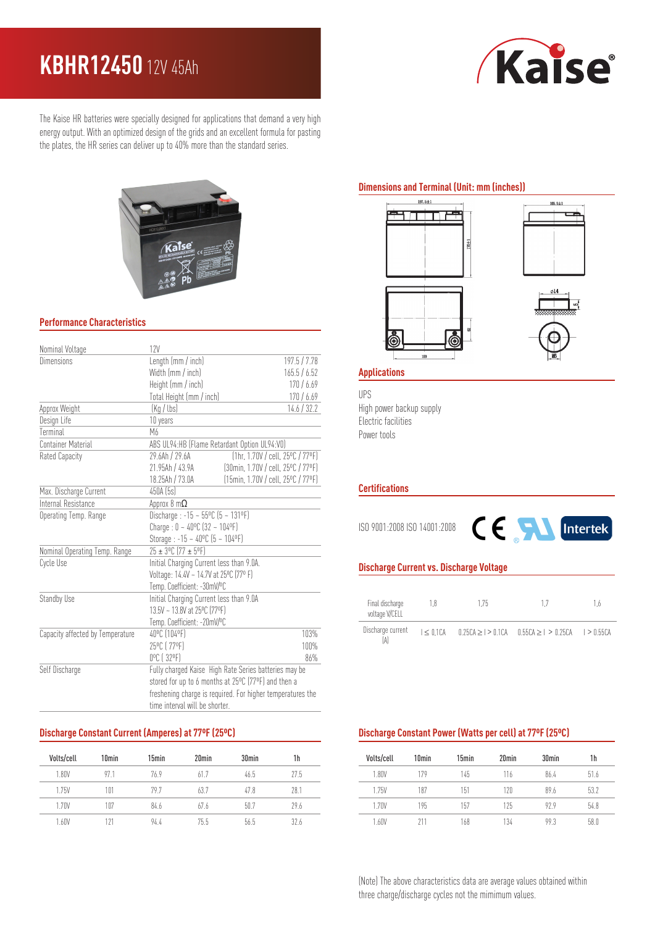# **KBHR12450** 12V 45Ah



The Kaise HR batteries were specially designed for applications that demand a very high energy output. With an optimized design of the grids and an excellent formula for pasting the plates, the HR series can deliver up to 40% more than the standard series.



### **Performance Characteristics**

| Nominal Voltage                  | 12V                                                        |                                    |  |
|----------------------------------|------------------------------------------------------------|------------------------------------|--|
| <b>Dimensions</b>                | Length (mm / inch)                                         | 197.5 / 7.78                       |  |
|                                  | Width (mm / inch)                                          | 165.5 / 6.52                       |  |
|                                  | Height (mm / inch)                                         | 170/6.69                           |  |
|                                  | Total Height (mm / inch)                                   | 170/6.69                           |  |
| Approx Weight                    | (Kg / lbs)                                                 | 14.6 / 32.2                        |  |
| Design Life                      | 10 years                                                   |                                    |  |
| Terminal                         | М6                                                         |                                    |  |
| <b>Container Material</b>        | ABS UL94:HB (Flame Retardant Option UL94:V0)               |                                    |  |
| Rated Capacity                   | [1hr, 1.70V / cell, 25°C / 77°F]<br>29.6Ah / 29.6A         |                                    |  |
|                                  | 21.95Ah / 43.9A                                            | (30min, 1.70V / cell, 25°C / 77°F) |  |
|                                  | 18.25Ah / 73.0A                                            | (15min, 1.70V / cell, 25°C / 77°F) |  |
| Max. Discharge Current           | 450A (5s)                                                  |                                    |  |
| Internal Resistance              | Approx 8 $m\Omega$                                         |                                    |  |
| Operating Temp. Range            | Discharge: $-15 - 55^{\circ}$ C (5 ~ 131°F)                |                                    |  |
|                                  | Charge: $0 - 40^{\circ}C$ (32 ~ 104°F)                     |                                    |  |
|                                  | Storage: $-15 - 40^{\circ}C$ (5 ~ 104°F)                   |                                    |  |
| Nominal Operating Temp. Range    | 25 ± 3°C (77 ± 5°F)                                        |                                    |  |
| Cycle Use                        | Initial Charging Current less than 9.0A.                   |                                    |  |
|                                  | Voltage: 14.4V ~ 14.7V at 25°C (77° F)                     |                                    |  |
|                                  | Temp. Coefficient: -30mV/ºC                                |                                    |  |
| Standby Use                      | Initial Charging Current less than 9.0A                    |                                    |  |
|                                  | 13.5V ~ 13.8V at 25°C (77°F)                               |                                    |  |
|                                  | Temp. Coefficient: -20mV/ºC                                |                                    |  |
| Capacity affected by Temperature | 40°C (104°F)                                               | 103%                               |  |
|                                  | 25°C (77°F)                                                | 100%                               |  |
|                                  | 0°C (32°F)                                                 | 86%                                |  |
| Self Discharge                   | Fully charged Kaise High Rate Series batteries may be      |                                    |  |
|                                  | stored for up to 6 months at 25°C (77°F) and then a        |                                    |  |
|                                  | freshening charge is required. For higher temperatures the |                                    |  |
|                                  | time interval will be shorter.                             |                                    |  |

#### **Discharge Constant Current (Amperes) at 77ºF (25ºC)**

| Volts/cell | 10 <sub>min</sub> | 15 <sub>min</sub> | 20 <sub>min</sub> | 30 <sub>min</sub> | 1h   |
|------------|-------------------|-------------------|-------------------|-------------------|------|
| 1.80V      | 97.1              | 76.9              | 61.7              | 46.5              | 77.5 |
| 1.75V      | 101               | 797               | 63.7              | 47.8              | 28.1 |
| 1.70V      | 107               | 84.6              | 67.6              | 50.7              | 29.6 |
| 1.60V      | 121               | 94.4              | 75.5              | 56.5              | 37.6 |

# **Dimensions and Terminal (Unit: mm (inches))**







#### **Applications**

UPS High power backup supply Electric facilities Power tools

#### **Certifications**

ISO 9001:2008 ISO 14001:2008



#### **Discharge Current vs. Discharge Voltage**

| Final discharge<br>voltage V/CELL | 1.8          | 175 | 17                                                      | 1 h |
|-----------------------------------|--------------|-----|---------------------------------------------------------|-----|
| Discharge current                 | $I < 0.1$ CA |     | $0.25CA > 1 > 0.1CA$ $0.55CA > 1 > 0.25CA$ $1 > 0.55CA$ |     |

## **Discharge Constant Power (Watts per cell) at 77ºF (25ºC)**

| Volts/cell   | 10 <sub>min</sub> | 15min | 20 <sub>min</sub> | 30 <sub>min</sub> | 1h   |
|--------------|-------------------|-------|-------------------|-------------------|------|
| 1.80V        | 179               | 145   | 116               | 86.4              | 51.6 |
| <b>1.75V</b> | 187               | 151   | 120               | 89.6              | 53.2 |
| 1.70V        | 195               | 157   | 125               | 979               | 54.8 |
| 1.60V        | 911               | 168   | 134               | 993               | 58.0 |

(Note) The above characteristics data are average values obtained within three charge/discharge cycles not the mimimum values.